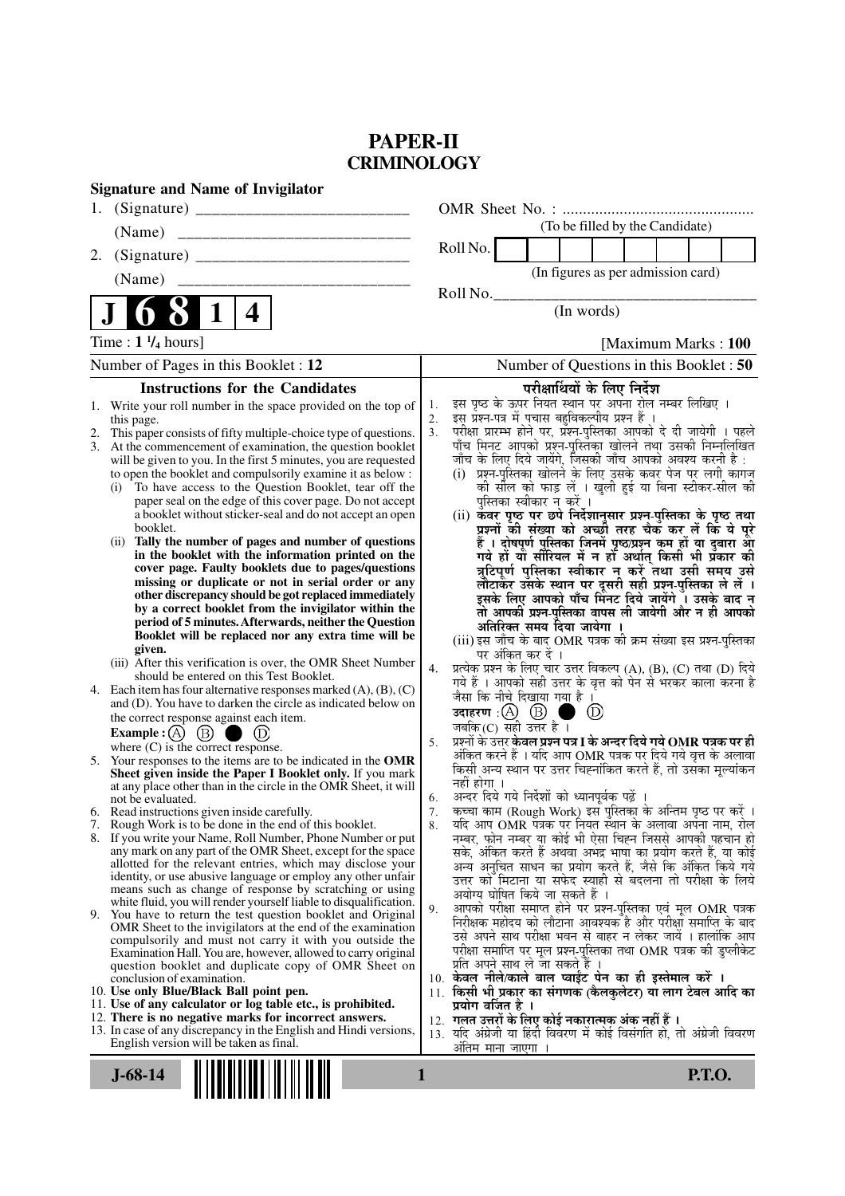# **PAPER-II CRIMINOLOGY**

| <b>Signature and Name of Invigilator</b>                                                                                      |                                                                                                                                     |  |  |  |
|-------------------------------------------------------------------------------------------------------------------------------|-------------------------------------------------------------------------------------------------------------------------------------|--|--|--|
|                                                                                                                               |                                                                                                                                     |  |  |  |
| (Name)                                                                                                                        | (To be filled by the Candidate)                                                                                                     |  |  |  |
| 2.                                                                                                                            | Roll No.                                                                                                                            |  |  |  |
| (Name)                                                                                                                        | (In figures as per admission card)                                                                                                  |  |  |  |
|                                                                                                                               | Roll No.                                                                                                                            |  |  |  |
| 1<br>4                                                                                                                        | (In words)                                                                                                                          |  |  |  |
| Time : $1\frac{1}{4}$ hours]                                                                                                  | [Maximum Marks: 100]                                                                                                                |  |  |  |
| Number of Pages in this Booklet : 12                                                                                          | Number of Questions in this Booklet: 50                                                                                             |  |  |  |
| <b>Instructions for the Candidates</b>                                                                                        | परीक्षार्थियों के लिए निर्देश                                                                                                       |  |  |  |
| Write your roll number in the space provided on the top of<br>1.                                                              | इस पृष्ठ के ऊपर नियत स्थान पर अपना रोल नम्बर लिखिए ।<br>1.<br>इस प्रश्न-पत्र में पचास बहुविकल्पीय प्रश्न हैं ।<br>2.                |  |  |  |
| this page.<br>This paper consists of fifty multiple-choice type of questions.<br>2.                                           | परीक्षा प्रारम्भ होने पर, प्रॅश्न्-पुस्तिका आपको दे दी जायेगी । पहले<br>3 <sub>1</sub>                                              |  |  |  |
| 3.<br>At the commencement of examination, the question booklet                                                                | पाँच मिनट आपको प्रश्न-पुस्तिका खोलने तथा उसकी निम्नलिखित                                                                            |  |  |  |
| will be given to you. In the first 5 minutes, you are requested<br>to open the booklet and compulsorily examine it as below : | जाँच के लिए दिये जायेंगे, जिसकी जाँच आपको अवश्य करनी है :<br>(i) प्रश्न-पुस्तिका खोलने के लिए उसके कवर पेज पर लगी कागज              |  |  |  |
| To have access to the Question Booklet, tear off the<br>(i)                                                                   | की सील को फाड़ लें । खुली हुई या बिना स्टीकर-सील की                                                                                 |  |  |  |
| paper seal on the edge of this cover page. Do not accept<br>a booklet without sticker-seal and do not accept an open          | पुस्तिका स्वीकार न करें ।<br>(ii) कॅवर पृष्ठ पर छपे निर्देशानुसार प्रश्न-पुस्तिका के पृष्ठ तथा                                      |  |  |  |
| booklet.                                                                                                                      | प्रश्नों की संख्या को अच्छों तरह चैक कर लें कि ये पूरे                                                                              |  |  |  |
| Tally the number of pages and number of questions<br>(ii)                                                                     | हैं । दोषपूर्ण पुस्तिका जिनमें पृष्ठ/प्रश्न कम हों या दुबारा आ<br>गये हों या सीरियल में न हो अर्थात् किसी भी प्रकार की              |  |  |  |
| in the booklet with the information printed on the<br>cover page. Faulty booklets due to pages/questions                      | त्रुटिपूर्ण पुस्तिका स्वीकार न करें तथा उसी समय उसे                                                                                 |  |  |  |
| missing or duplicate or not in serial order or any                                                                            | लौटाकेर उसके स्थान पर दूसरी सही प्रश्न्-पुस्तिका ले लें ।                                                                           |  |  |  |
| other discrepancy should be got replaced immediately<br>by a correct booklet from the invigilator within the                  | इसके लिए आपको पाँच मिनट दिये जायेंगे । उसके बाद न<br>तो आपकी प्रश्न-पुस्तिका वापस ली जायेगी और न ही आपको                            |  |  |  |
| period of 5 minutes. Afterwards, neither the Question                                                                         | अतिरिक्त समय दिया जायेगा ।                                                                                                          |  |  |  |
| Booklet will be replaced nor any extra time will be<br>given.                                                                 | (iii) इस जाँच के बाद OMR पत्रक की क्रम संख्या इस प्रश्न-पुस्तिका                                                                    |  |  |  |
| (iii) After this verification is over, the OMR Sheet Number                                                                   | पर अंकित कर दें ।<br>प्रत्येक प्रश्न के लिए चार उत्तर विकल्प (A), (B), (C) तथा (D) दिये<br>4.                                       |  |  |  |
| should be entered on this Test Booklet.<br>4. Each item has four alternative responses marked $(A)$ , $(B)$ , $(C)$           | गये हैं । आपको सही उत्तर के वृत्त को पेन से भरकर काला करना है                                                                       |  |  |  |
| and (D). You have to darken the circle as indicated below on                                                                  | जैसा कि नीचे दिखाया गया है ।                                                                                                        |  |  |  |
| the correct response against each item.                                                                                       | उदाहरण $\alpha$ $\alpha$ $\beta$ $\beta$<br>$\circled{\scriptstyle D}$<br>जबकि $(C)$ सही उत्तर है।                                  |  |  |  |
| Example : $(A)$ $(B)$<br>$\circledcirc$<br>where $(C)$ is the correct response.                                               | प्रश्नों के उत्तर केवल प्रश्न पत्र I के अन्दर दिये गये $\bf OMR$ पत्रक पर ही<br>5.                                                  |  |  |  |
| 5. Your responses to the items are to be indicated in the OMR                                                                 | अंकित करने हैं । यदि आप OMR पत्रक पर दिये गये वृत्त के अलावा<br>किसी अन्य स्थान पर उत्तर चिह्नांकित करते हैं, तो उसका मूल्यांकन     |  |  |  |
| Sheet given inside the Paper I Booklet only. If you mark<br>at any place other than in the circle in the OMR Sheet, it will   | नहीं होगा ।                                                                                                                         |  |  |  |
| not be evaluated.                                                                                                             | अन्दर दिये गये निर्देशों को ध्यानपूर्वक पढ़ें<br>6.                                                                                 |  |  |  |
| 6. Read instructions given inside carefully.<br>7. Rough Work is to be done in the end of this booklet.                       | कच्चा काम (Rough Work) इस पुस्तिका के अन्तिम पृष्ठ पर करें ।<br>7.<br>यदि आप OMR पत्रक पर नियत स्थान के अलावा अपना नाम, रोल<br>8.   |  |  |  |
| 8. If you write your Name, Roll Number, Phone Number or put                                                                   | नम्बर, फोन नम्बर या कोई भी ऐसा चिह्न जिससे आपकी पहचान हो                                                                            |  |  |  |
| any mark on any part of the OMR Sheet, except for the space<br>allotted for the relevant entries, which may disclose your     | सके, अंकित करते हैं अथवा अभद्र भाषा का प्रयोग करते हैं, या कोई<br>अन्य अनुचित साधन का प्रयोग करते हैं, जैसे कि अंकित किये गये       |  |  |  |
| identity, or use abusive language or employ any other unfair                                                                  | उत्तर को मिटाना या सफेद स्याही से बदलना तो परीक्षा के लिये                                                                          |  |  |  |
| means such as change of response by scratching or using<br>white fluid, you will render yourself liable to disqualification.  | अयोग्य घोषित किये जा सकते हैं ।                                                                                                     |  |  |  |
| 9.<br>You have to return the test question booklet and Original                                                               | आपको परीक्षा समाप्त होने पर प्रश्न-पुस्तिका एवं मूल OMR पत्रक<br>9.<br>निरीक्षक महोदय को लौटाना आवश्यक है और परीक्षा समाप्ति के बाद |  |  |  |
| OMR Sheet to the invigilators at the end of the examination<br>compulsorily and must not carry it with you outside the        | उसे अपने साथ परीक्षा भवन से बाहर न लेकर जायें । हालांकि आप                                                                          |  |  |  |
| Examination Hall. You are, however, allowed to carry original                                                                 | परीक्षा समाप्ति पर मूल प्रश्न-पुस्तिका तथा OMR पत्रक की डुप्लीकेट                                                                   |  |  |  |
| question booklet and duplicate copy of OMR Sheet on<br>conclusion of examination.                                             | प्रति अपने साथ ले जा सकते हैं ।<br>10. केवल नीले/काले बाल प्वाईंट पेन का ही इस्तेमाल करें ।                                         |  |  |  |
| 10. Use only Blue/Black Ball point pen.                                                                                       | 11. किसी भी प्रकार का संगणक (कैलकुलेटर) या लाग टेबल आदि का                                                                          |  |  |  |
| 11. Use of any calculator or log table etc., is prohibited.<br>12. There is no negative marks for incorrect answers.          | प्रयोग वर्जित है ।<br>12.  गलत उत्तरों के लिए कोई नकारात्मक अंक नहीं हैं ।                                                          |  |  |  |
| 13. In case of any discrepancy in the English and Hindi versions,                                                             | 13. यदि अंग्रेजी या हिंदी विवरण में कोई विसंगति हो, तो अंग्रेजी विवरण                                                               |  |  |  |
| English version will be taken as final.                                                                                       | अतिम माना जाएगा ।                                                                                                                   |  |  |  |
| <b>P.T.O.</b><br>$J-68-14$<br>1                                                                                               |                                                                                                                                     |  |  |  |
|                                                                                                                               |                                                                                                                                     |  |  |  |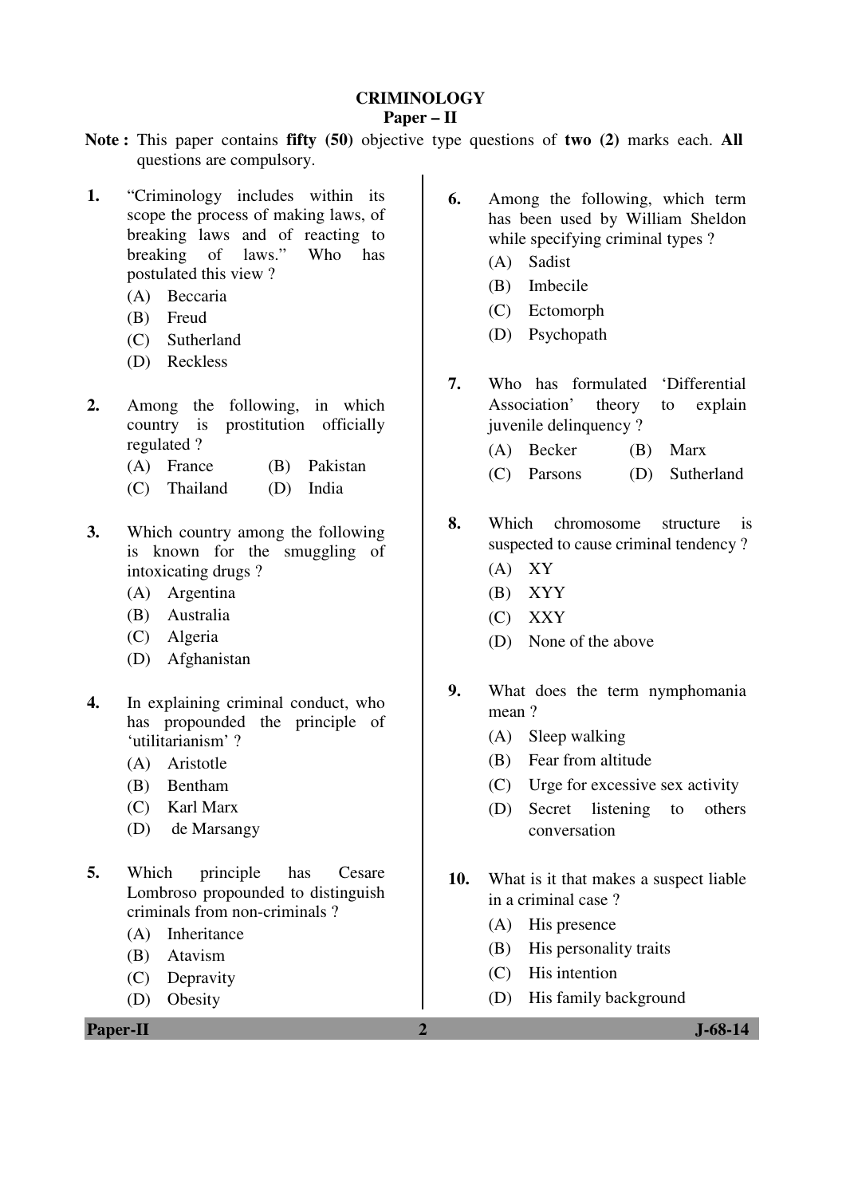### **CRIMINOLOGY**

### **Paper – II**

- **Note :** This paper contains **fifty (50)** objective type questions of **two (2)** marks each. **All** questions are compulsory.
- **1.** "Criminology includes within its scope the process of making laws, of breaking laws and of reacting to breaking of laws." Who has postulated this view ?
	- (A) Beccaria
	- (B) Freud
	- (C) Sutherland
	- (D) Reckless
- **2.** Among the following, in which country is prostitution officially regulated ?
	- (A) France (B) Pakistan
	- (C) Thailand (D) India
- **3.** Which country among the following is known for the smuggling of intoxicating drugs ?
	- (A) Argentina
	- (B) Australia
	- (C) Algeria
	- (D) Afghanistan
- **4.** In explaining criminal conduct, who has propounded the principle of 'utilitarianism' ?
	- (A) Aristotle
	- (B) Bentham
	- (C) Karl Marx
	- (D) de Marsangy
- **5.** Which principle has Cesare Lombroso propounded to distinguish criminals from non-criminals ?
	- (A) Inheritance
	- (B) Atavism
	- (C) Depravity
	- (D) Obesity
- **6.** Among the following, which term has been used by William Sheldon while specifying criminal types ?
	- (A) Sadist
	- (B) Imbecile
	- (C) Ectomorph
	- (D) Psychopath
- **7.** Who has formulated 'Differential Association' theory to explain juvenile delinquency ?
	- (A) Becker (B) Marx
	- (C) Parsons (D) Sutherland
- **8.** Which chromosome structure is suspected to cause criminal tendency ?
	- (A) XY
	- (B) XYY
	- (C) XXY
	- (D) None of the above
- **9.** What does the term nymphomania mean ?
	- (A) Sleep walking
	- (B) Fear from altitude
	- (C) Urge for excessive sex activity
	- (D) Secret listening to others conversation
- **10.** What is it that makes a suspect liable in a criminal case ?
	- (A) His presence
	- (B) His personality traits
	- (C) His intention
	- (D) His family background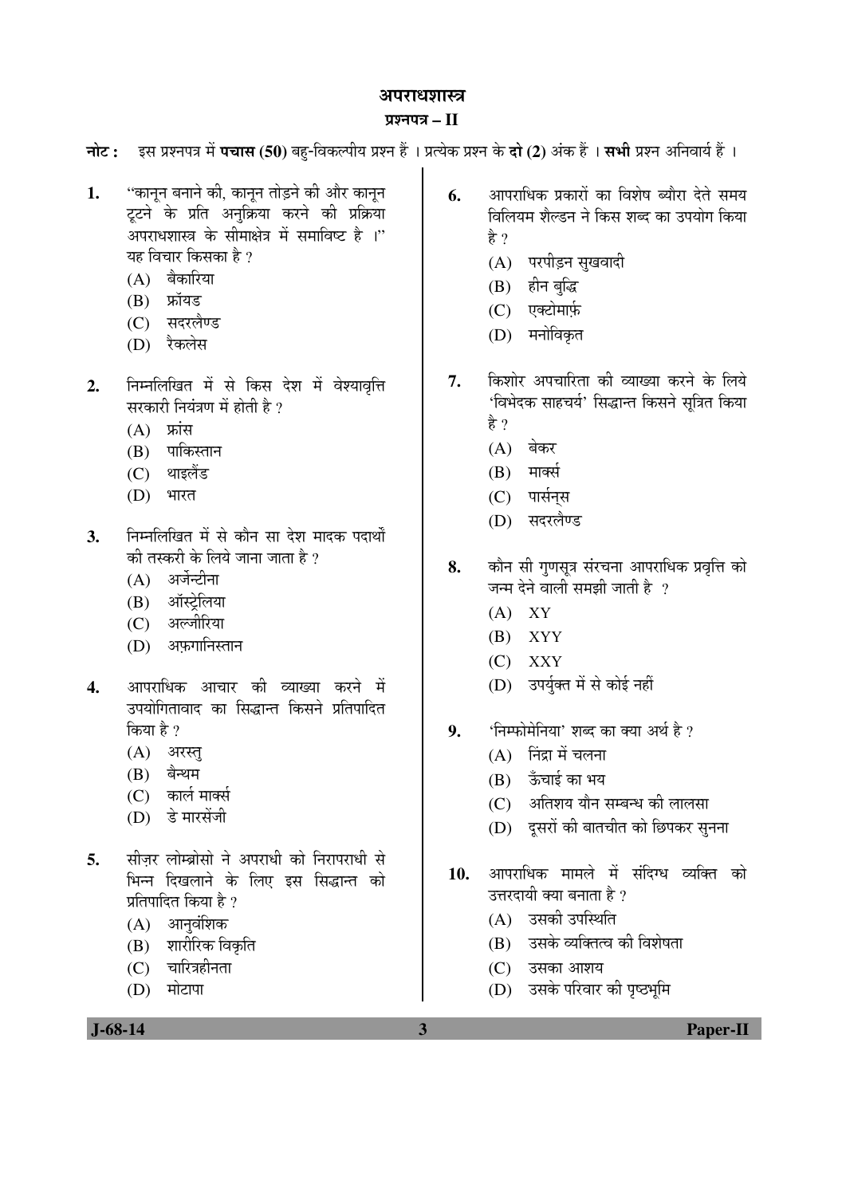#### अपराधशास्त्र

#### ¯ÖÏ¿®Ö¯Ö¡Ö **– II**

**नोट: इस प्रश्नपत्र में पचास (50)** बह-विकल्पीय प्रश्न हैं । प्रत्येक प्रश्न के **दो (2)** अंक हैं । सभी प्रश्न अनिवार्य हैं ।

- 1. "कानून बनाने की, कानून तोड़ने की और कानून ट्टने के प्रति अनुक्रिया करने की प्रक्रिया अपराधशास्त्र के सीमाक्षेत्र में समाविष्ट है ।" यह विचार किसका है ?
	- $(A)$  बैकारिया
	- $(B)$  फ्रॉयड
	- (C) सदरलैण्ड
	- (D) रैकलेस
- 2. निम्नलिखित में से किस देश में वेश्यावृत्ति सरकारी नियंत्रण में होती है ?
	- $(A)$  फ्रांस
	- $(B)$  पाकिस्तान
	- (C) थाइलैंड
	- (D) भारत
- 3. निम्नलिखित में से कौन सा देश मादक पदार्थों की तस्करी के लिये जाना जाता है  $\overline{v}$ 
	- $(A)$  अर्जेन्टीना
	- (B) ऑस्टेलिया
	- (C) अल्जीरिया
	- (D) अफगानिस्तान
- 4. आपराधिक आचार की व्याख्या करने में उपयोगितावाद का सिद्धान्त किसने प्रतिपादित किया है ?
	- $(A)$  अरस्तु
	- $(B)$  बैन्थम
	- $(C)$  कार्ल मार्क्स
	- $(D)$  डे मारसेंजी
- 5. सीजर लोम्ब्रोसो ने अपराधी को निरापराधी से भिन्न दिखलाने के लिए इस सिद्धान्त को प्रतिपादित किया है ?
	- $(A)$  आनुवंशिक
	- (B) शारीरिक विकृति
	- $(C)$  चारित्रहीनता
	- $(D)$  मोटापा

**6.** आपराधिक प्रकारों का विशेष ब्यौरा देते समय <u>विलियम शैल्डन ने किस शब्द का उपयोग किया</u> हे ?

- (A) परपीड़न सुखवादी
- (B) हीन बुद्धि
- (C) एक्टोमार्फ़
- (D) मनोविकृत
- **7.** किशोर अपचारिता की व्याख्या करने के लिये 'विभेदक साहचर्य' सिद्धान्त किसने सूत्रित किया हे ?
	- $(A)$  बेकर
	- $(B)$  मार्क्स
	- (C) पार्सनस
	- (D) सदरलैण्ड
- 8. कौन सी गुणसुत्र संरचना आपराधिक प्रवृत्ति को जन्म देने वाली समझी जाती है $\,$  ?
	- $(A)$  XY
	- (B) XYY
	- (C) XXY
	- (D) उपर्युक्त में से कोई नहीं
- 9. 'निम्फोमेनिया' शब्द का क्या अर्थ है ?
	- $(A)$  निंद्रा में चलना
	- $(B)$  ऊँचाई का भय
	- $(C)$  । अतिशय यौन सम्बन्ध की लालसा
	- (D) दूसरों की बातचीत को छिपकर सुनना
- 10. आपराधिक मामले में संदिग्ध व्यक्ति को उत्तरदायी क्या बनाता है ?
	- $(A)$  उसकी उपस्थिति
	- (B) उसके व्यक्तित्व की विशेषता
	- $(C)$  उसका आशय
	- (D) उसके परिवार की पृष्ठभूमि

 **J-68-14 3 Paper-II**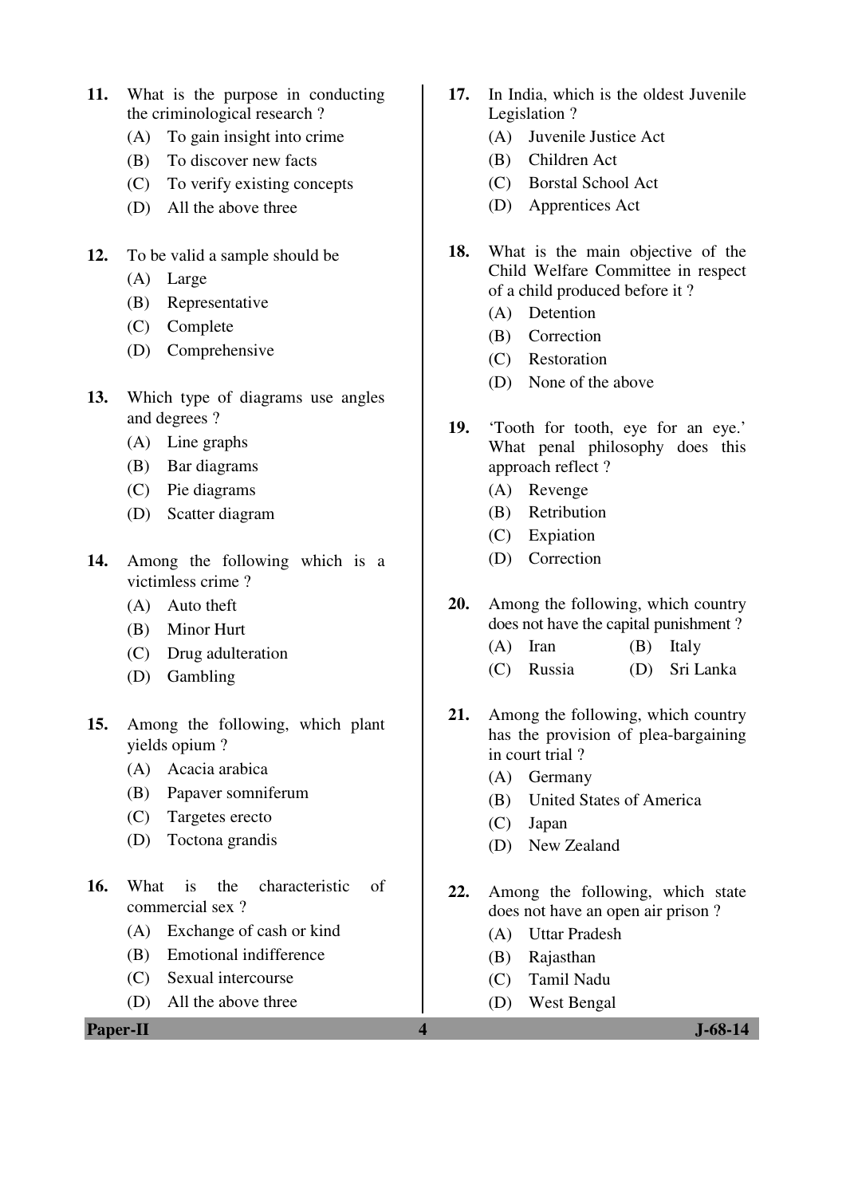- **11.** What is the purpose in conducting the criminological research ?
	- (A) To gain insight into crime
	- (B) To discover new facts
	- (C) To verify existing concepts
	- (D) All the above three
- **12.** To be valid a sample should be
	- (A) Large
	- (B) Representative
	- (C) Complete
	- (D) Comprehensive
- **13.** Which type of diagrams use angles and degrees ?
	- (A) Line graphs
	- (B) Bar diagrams
	- (C) Pie diagrams
	- (D) Scatter diagram
- **14.** Among the following which is a victimless crime ?
	- (A) Auto theft
	- (B) Minor Hurt
	- (C) Drug adulteration
	- (D) Gambling
- **15.** Among the following, which plant yields opium ?
	- (A) Acacia arabica
	- (B) Papaver somniferum
	- (C) Targetes erecto
	- (D) Toctona grandis
- **16.** What is the characteristic of commercial sex ?
	- (A) Exchange of cash or kind
	- (B) Emotional indifference
	- (C) Sexual intercourse
	- (D) All the above three

**Paper-II 4 J-68-14**

- **17.** In India, which is the oldest Juvenile Legislation ?
	- (A) Juvenile Justice Act
	- (B) Children Act
	- (C) Borstal School Act
	- (D) Apprentices Act
- **18.** What is the main objective of the Child Welfare Committee in respect of a child produced before it ?
	- (A) Detention
	- (B) Correction
	- (C) Restoration
	- (D) None of the above
- **19.** 'Tooth for tooth, eye for an eye.' What penal philosophy does this approach reflect ?
	- (A) Revenge
	- (B) Retribution
	- (C) Expiation
	- (D) Correction
- **20.** Among the following, which country does not have the capital punishment ?
	- (A) Iran (B) Italy
	- (C) Russia (D) Sri Lanka
- **21.** Among the following, which country has the provision of plea-bargaining in court trial ?
	- (A) Germany
	- (B) United States of America
	- (C) Japan
	- (D) New Zealand
- **22.** Among the following, which state does not have an open air prison ?
	- (A) Uttar Pradesh
	- (B) Rajasthan
	- (C) Tamil Nadu
	- (D) West Bengal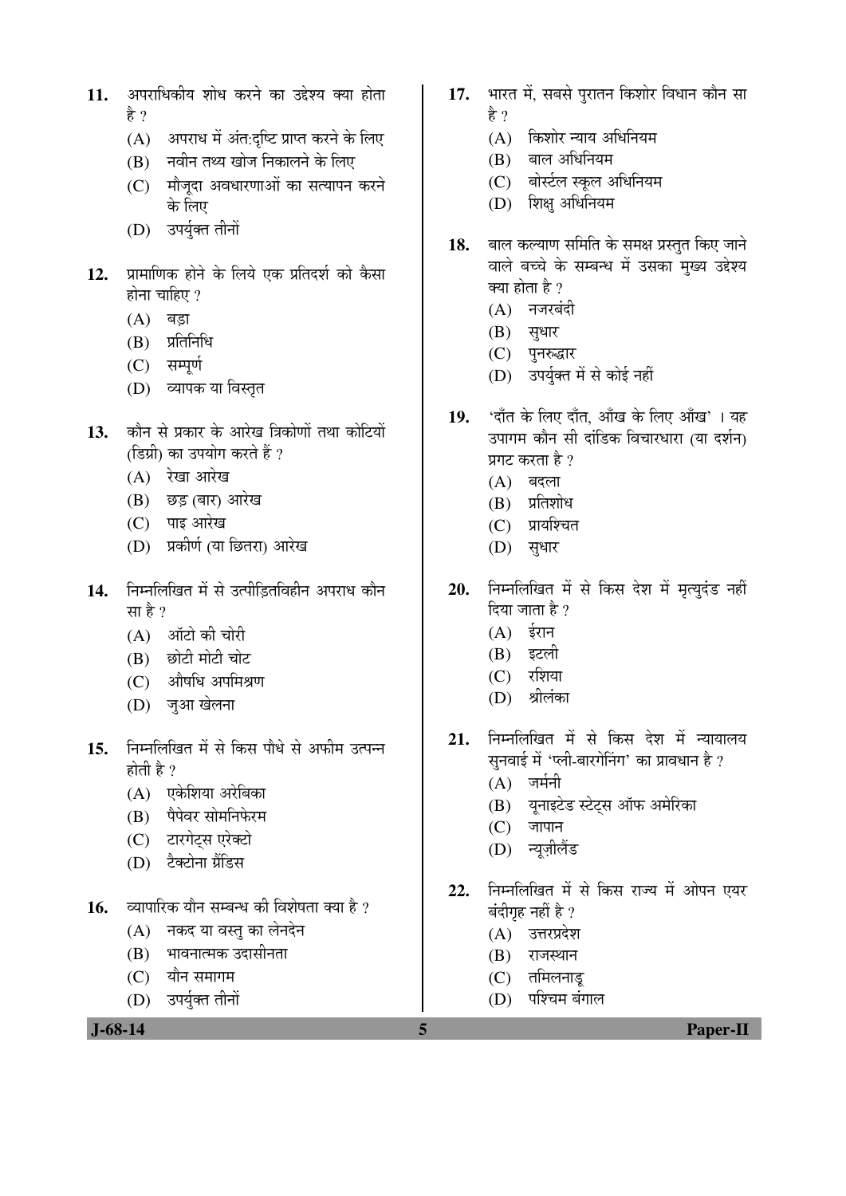- 11. अपराधिकीय शोध करने का उद्देश्य क्या होता हे ?
	- $(A)$  अपराध में अंत:दृष्टि प्राप्त करने के लिए
	- $(B)$  नवीन तथ्य खोज निकालने के लिए
	- (C) मौजूदा अवधारणाओं का सत्यापन करने के लिए
	- (D) उपर्युक्त तीनों
- 12. प्रामाणिक होने के लिये एक प्रतिदर्श को कैसा होना चाहिए $?$ 
	- $(A)$  बड़ा
	- $(B)$  प्रतिनिधि
	- (C) सम्पूर्ण
	- (D) व्यापक या विस्तृत
- 13. कौन से प्रकार के आरेख त्रिकोणों तथा कोटियों (डिग्री) का उपयोग करते हैं ?
	- $(A)$  रेखा आरेख
	- (B) छड़ (बार) आरेख
	- $(C)$  पाइ आरेख
	- (D) प्रकीर्ण (या छितरा) आरेख
- 14. निम्नलिखित में से उत्पीडितविहीन अपराध कौन सा है ?
	- $(A)$  ऑटो की चोरी
	- (B) छोटी मोटी चोट
	- $(C)$  औषधि अपमिश्रण
	- (D) ज़आ खेलना
- 15. निम्नलिखित में से किस पौधे से अफीम उत्पन्न होती है $?$ 
	- $(A)$  एकेशिया अरेबिका
	- (B) पैपेवर सोमनिफेरम
	- (C) टारगेटस एरेक्टो
	- (D) टैक्टोना ग्रैंडिस
- 16. व्यापारिक यौन सम्बन्ध की विशेषता क्या है ?
	- $(A)$  नकद या वस्तु का लेनदेन
	- (B) भावनात्मक उदासीनता
	- $(C)$  यौन समागम
	- (D) उपर्युक्त तीनों
- 17. भारत में, सबसे परातन किशोर विधान कौन सा हे ?
	- $(A)$  किशोर न्याय अधिनियम
	- $(B)$  बाल अधिनियम
	- (C) बोर्स्टल स्कुल अधिनियम
	- (D) शिक्ष अधिनियम
- 18. बाल कल्याण समिति के समक्ष प्रस्तुत किए जाने वाले बच्चे के सम्बन्ध में उसका मुख्य उद्देश्य क्या होता है ?
	- $(A)$  नजरबंदी
	- $(B)$  सुधार
	- (C) पुनरुद्धार
	- (D) उपर्युक्त में से कोई नहीं
- 19. 'दाँत के लिए दाँत, आँख के लिए आँख'। यह उपागम कौन सी दांडिक विचारधारा (या दर्शन) प्रगट करता है ?
	- $(A)$  बदला
	- $(B)$  प्रतिशोध
	- (C) प्रायश्चित
	- (D) सुधार
- 20. निम्नलिखित में से किस देश में मृत्युदंड नहीं दिया जाता है ?
	- $(A)$  ईरान
	- (B) इटली
	- $(C)$  रशिया
	- (D) श्रीलंका
- 21. निम्नलिखित में से किस देश में न्यायालय सुनवाई में 'प्ली-बारगेनिंग' का प्रावधान है ?
	- $(A)$  जर्मनी
	- (B) यूनाइटेड स्टेट्स ऑफ अमेरिका
	- $(C)$  जापान
	- (D) न्यूज़ीलैंड
- 22. निम्नलिखित में से किस राज्य में ओपन एयर बंदीगृह नहीं है ?
	- (A) उत्तरप्रदेश
	- $(B)$  राजस्थान
	- $(C)$  तमिलनाड
	- (D) पश्चिम बंगाल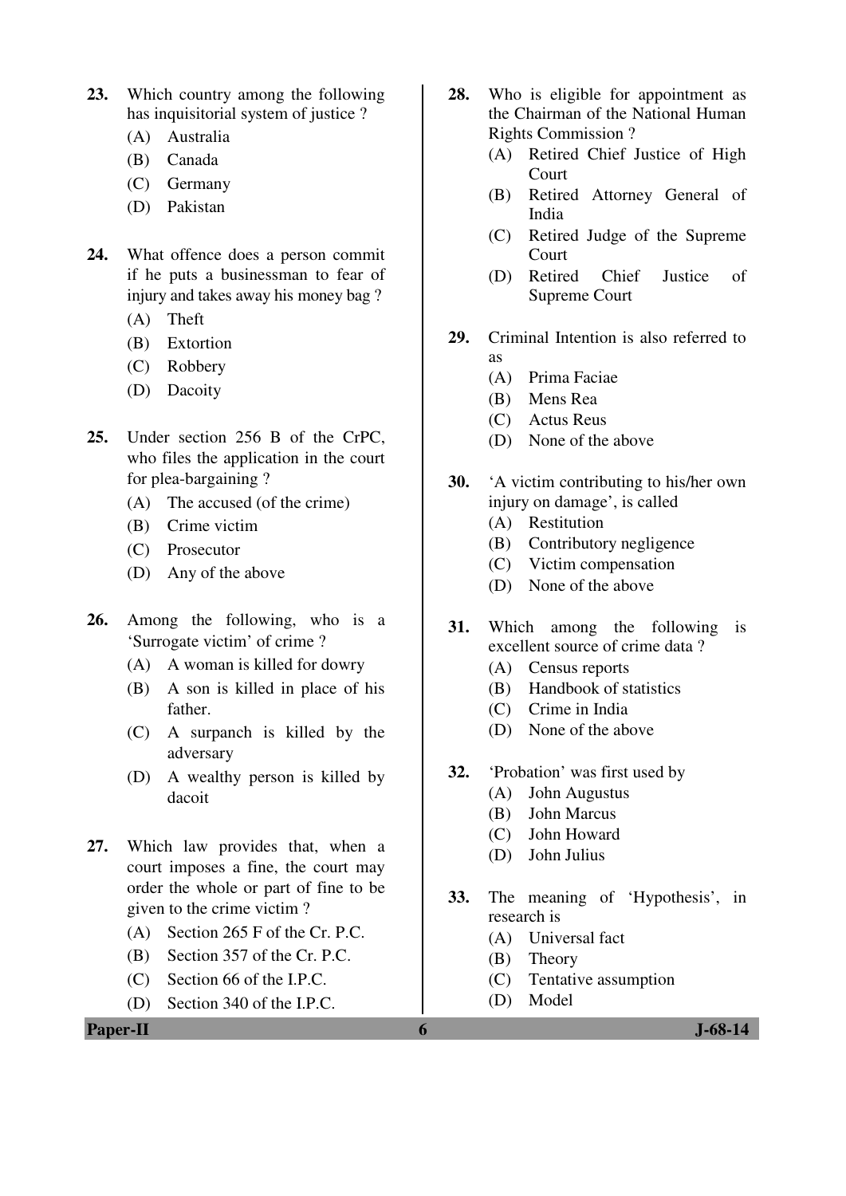- **23.** Which country among the following has inquisitorial system of justice ?
	- (A) Australia
	- (B) Canada
	- (C) Germany
	- (D) Pakistan
- **24.** What offence does a person commit if he puts a businessman to fear of injury and takes away his money bag ?
	- (A) Theft
	- (B) Extortion
	- (C) Robbery
	- (D) Dacoity
- **25.** Under section 256 B of the CrPC, who files the application in the court for plea-bargaining ?
	- (A) The accused (of the crime)
	- (B) Crime victim
	- (C) Prosecutor
	- (D) Any of the above
- **26.** Among the following, who is a 'Surrogate victim' of crime ?
	- (A) A woman is killed for dowry
	- (B) A son is killed in place of his father.
	- (C) A surpanch is killed by the adversary
	- (D) A wealthy person is killed by dacoit
- **27.** Which law provides that, when a court imposes a fine, the court may order the whole or part of fine to be given to the crime victim ?
	- (A) Section 265 F of the Cr. P.C.
	- (B) Section 357 of the Cr. P.C.
	- (C) Section 66 of the I.P.C.
	- (D) Section 340 of the I.P.C.

**28.** Who is eligible for appointment as the Chairman of the National Human Rights Commission ?

- (A) Retired Chief Justice of High Court
- (B) Retired Attorney General of India
- (C) Retired Judge of the Supreme Court
- (D) Retired Chief Justice of Supreme Court
- **29.** Criminal Intention is also referred to as
	- (A) Prima Faciae
	- (B) Mens Rea
	- (C) Actus Reus
	- (D) None of the above
- **30.** 'A victim contributing to his/her own injury on damage', is called
	- (A) Restitution
	- (B) Contributory negligence
	- (C) Victim compensation
	- (D) None of the above
- **31.** Which among the following is excellent source of crime data ?
	- (A) Census reports
	- (B) Handbook of statistics
	- (C) Crime in India
	- (D) None of the above
- **32.** 'Probation' was first used by
	- (A) John Augustus
	- (B) John Marcus
	- (C) John Howard
	- (D) John Julius
- **33.** The meaning of 'Hypothesis', in research is
	- (A) Universal fact
	- (B) Theory
	- (C) Tentative assumption
	- (D) Model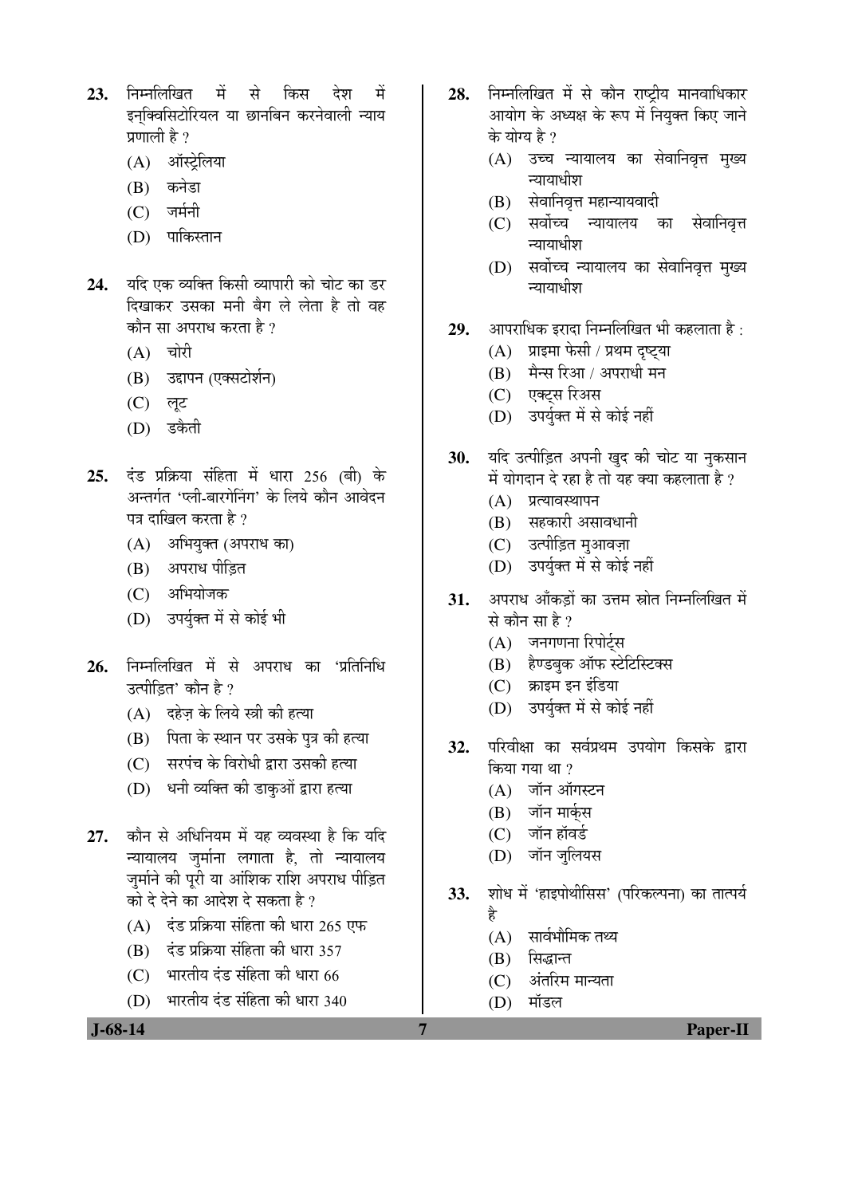- 23. निम्नलिखित में से किस देश में इनक्विसिटोरियल या छानबिन करनेवाली न्याय प्रणाली है $\overline{?}$ 
	- (A) ऑस्ट्रेलिया
	- (B) कनेडा
	- $(C)$  जर्मनी
	- (D) पाकिस्तान
- 24. यदि एक व्यक्ति किसी व्यापारी को चोट का डर दिखाकर उसका मनी बैग ले लेता है तो वह कौन सा अपराध करता है ?
	- $(A)$  चोरी
	- (B) उद्दापन (एक्सटोर्शन)
	- (C) लूट
	- (D) डकैती
- **25.** दंड प्रक्रिया संहिता में धारा 256 (बी) के अन्तर्गत 'प्ली-बारगेनिंग' के लिये कौन आवेदन पत्र दाखिल करता है ?
	- (A) अभियुक्त (अपराध का)
	- (B) अपराध पीडि़त
	- (C) अभियोजक
	- (D) उपर्युक्त में से कोई भी
- **26.** निम्नलिखित में से अपराध का 'प्रतिनिधि उत्पीडित' कौन है ?
	- $(A)$  दहेज़ के लिये स्त्री की हत्या
	- (B) पिता के स्थान पर उसके पत्र की हत्या
	- (C) सरपंच के विरोधी द्वारा उसकी हत्या
	- (D) धनी व्यक्ति की डाकुओं द्वारा हत्या
- 27. कौन से अधिनियम में यह व्यवस्था है कि यदि <u>न्यायालय जुर्माना लगाता है, तो न्यायालय</u> जर्माने की परी या आंशिक राशि अपराध पीडित <u>को दे देने का आदेश दे सकता है ?</u>
	- $(A)$  दंड प्रक्रिया संहिता की धारा 265 एफ
	- $(B)$  दंड प्रक्रिया संहिता की धारा 357
	- $(C)$  भारतीय दंड संहिता की धारा  $66$
	- $(D)$  भारतीय दंड संहिता की धारा 340
- 28. निम्नलिखित में से कौन राष्टीय मानवाधिकार आयोग के अध्यक्ष के रूप में नियक्त किए जाने के योग्य है ?
	- (A) उच्च न्यायालय का सेवानिवृत्त मुख्य न्यायाधीश
	- (B) सेवानिवृत्त महान्यायवादी
	- (C) सर्वोच्च न्यायालय का सेवानिवृत्त न्यायाधीश
	- (D) सर्वोच्च न्यायालय का सेवानिवृत्त मुख्य न्यायाधीश
- **29.** आपराधिक इरादा निम्नलिखित भी कहलाता है:
	- (A) प्राइमा फेसी / प्रथम दृष्ट्या
	- $(B)$  मैन्स रिआ / अपराधी मन
	- (C) एक्टस रिअस
	- (D) उपर्युक्त में से कोई नहीं
- 30. यदि उत्पीड़ित अपनी खुद की चोट या नुकसान में योगदान दे रहा है तो यह क्या कहलाता है ?
	- $(A)$  प्रत्यावस्थापन
	- $(B)$  सहकारी असावधानी
	- (C) उत्पीड़ित मुआवज़ा
	- (D) उपर्युक्त में से कोई नहीं
- **31.** अपराध आँकडों का उत्तम स्रोत निम्नलिखित में से कौन सा $\stackrel{1}{\mathcal{B}}$  ?
	- (A) जनगणना रिपोर्टस
	- (B) हैण्डबक ऑफ स्टेटिस्टिक्स
	- $(C)$  क्राइम इन इंडिया
	- (D) उपर्युक्त में से कोई नहीं
- 32. परिवीक्षा का सर्वप्रथम उपयोग किसके द्रारा किया गया था ?
	- $(A)$  जॉन ऑगस्टन
	- (B) जॉन मार्कस
	- $(C)$  जॉन हॉवर्ड
	- (D) जॉन जुलियस
- **33.** शोध में 'हाइपोथीसिस' (परिकल्पना) का तात्पर्य
	- Æîü
	- $(A)$  सार्वभौमिक तथ्य
	- $(B)$  सिद्धान्त
	- $(C)$  अंतरिम मान्यता
	- (D) मॉडल

 **J-68-14 7 Paper-II**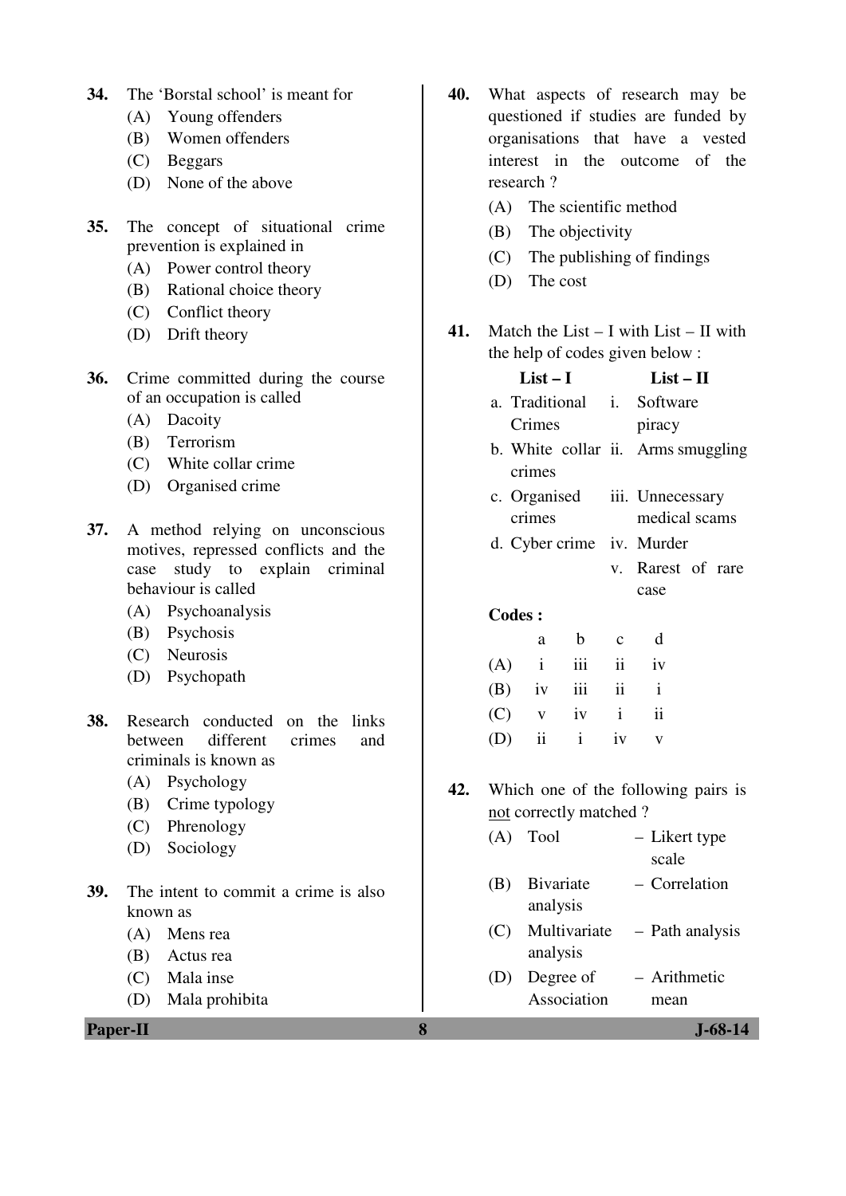- **34.** The 'Borstal school' is meant for
	- (A) Young offenders
	- (B) Women offenders
	- (C) Beggars
	- (D) None of the above
- **35.** The concept of situational crime prevention is explained in
	- (A) Power control theory
	- (B) Rational choice theory
	- (C) Conflict theory
	- (D) Drift theory
- **36.** Crime committed during the course of an occupation is called
	- (A) Dacoity
	- (B) Terrorism
	- (C) White collar crime
	- (D) Organised crime
- **37.** A method relying on unconscious motives, repressed conflicts and the case study to explain criminal behaviour is called
	- (A) Psychoanalysis
	- (B) Psychosis
	- (C) Neurosis
	- (D) Psychopath
- **38.** Research conducted on the links between different crimes and criminals is known as
	- (A) Psychology
	- (B) Crime typology
	- (C) Phrenology
	- (D) Sociology
- **39.** The intent to commit a crime is also known as
	- (A) Mens rea
	- (B) Actus rea
	- (C) Mala inse
	- (D) Mala prohibita

**Paper-II 8 J-68-14**

- **40.** What aspects of research may be questioned if studies are funded by organisations that have a vested interest in the outcome of the research ?
	- (A) The scientific method
	- (B) The objectivity
	- (C) The publishing of findings
	- (D) The cost
- **41.** Match the List I with List II with the help of codes given below :

|     | $List-I$      |                                    |                           | $List - II$ |                                     |  |
|-----|---------------|------------------------------------|---------------------------|-------------|-------------------------------------|--|
|     |               | a. Traditional i. Software         |                           |             |                                     |  |
|     |               | Crimes                             |                           |             | piracy                              |  |
|     |               | b. White collar ii. Arms smuggling |                           |             |                                     |  |
|     |               | crimes                             |                           |             |                                     |  |
|     |               | c. Organised                       |                           |             | iii. Unnecessary                    |  |
|     |               | crimes                             |                           |             | medical scams                       |  |
|     |               | d. Cyber crime iv. Murder          |                           |             |                                     |  |
|     |               |                                    |                           |             | v. Rarest of rare                   |  |
|     |               |                                    |                           |             | case                                |  |
|     | <b>Codes:</b> |                                    |                           |             |                                     |  |
|     |               | a                                  | b c                       |             | $\mathbf d$                         |  |
|     |               | $(A)$ i                            | $\overline{\mathbf{iii}}$ | ii          | iv                                  |  |
|     |               |                                    | $(B)$ iv iii ii i         |             |                                     |  |
|     | (C)           |                                    | $v$ iv $i$                |             | $\overline{\mathbf{ii}}$            |  |
|     | $(D)$ ii      |                                    | $\mathbf{i}$              | iv          | $\mathbf{V}$                        |  |
|     |               |                                    |                           |             |                                     |  |
| 42. |               |                                    |                           |             | Which one of the following pairs is |  |
|     |               |                                    | not correctly matched?    |             |                                     |  |
|     |               | $(A)$ Tool                         |                           |             | - Likert type                       |  |
|     |               |                                    |                           |             | scale                               |  |
|     | (B)           |                                    | Bivariate                 |             | - Correlation                       |  |
|     |               | analysis                           |                           |             |                                     |  |
|     |               |                                    |                           |             | (C) Multivariate – Path analysis    |  |
|     |               | analysis                           |                           |             |                                     |  |
|     | (D)           |                                    | Degree of                 |             | - Arithmetic                        |  |

Association

mean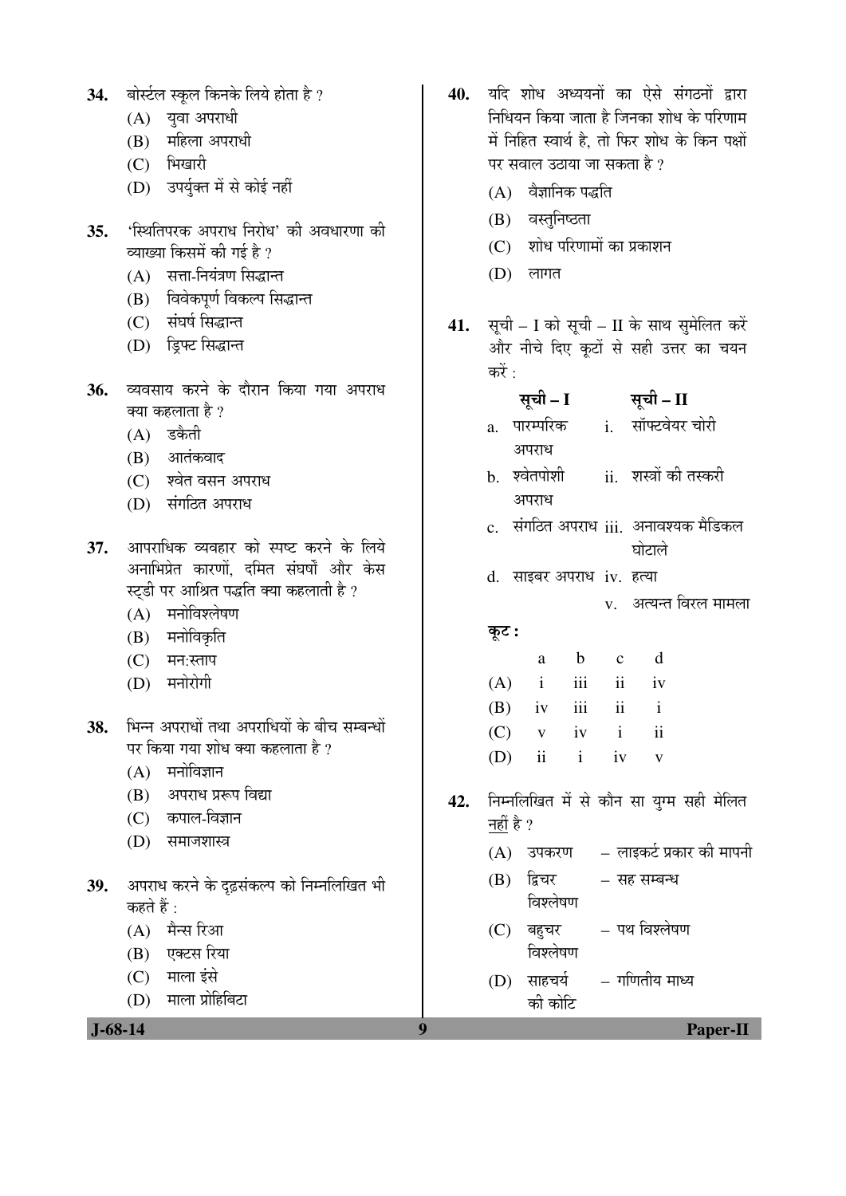- 34. बोर्स्टल स्कूल किनके लिये होता है ?
	- $(A)$  युवा अपराधी
	- (B) महिला अपराधी
	- (C) भिखारी
	- (D) उपर्युक्त में से कोई नहीं
- 35. <u>'</u>स्थितिपरक अपराध निरोध' की अवधारणा की व्याख्या किसमें की गई है ?
	- $(A)$  सत्ता-नियंत्रण सिद्धान्त
	- (B) विवेकपूर्ण विकल्प सिद्धान्त
	- $(C)$  संघर्ष सिद्धान्त
	- (D) ड्रिफ्ट सिद्धान्त
- 36. व्यवसाय करने के दौरान किया गया अपराध क्या कहलाता है ?
	- $(A)$  डकैती
	- $(B)$  आतंकवाद
	- (C) श्वेत वसन अपराध
	- (D) संगठित अपराध
- 37. आपराधिक व्यवहार को स्पष्ट करने के लिये अनाभिप्रेत कारणों. दमित संघर्षों और केस स्टडी पर आश्रित पद्धति क्या कहलाती है ?
	- (A) मनोविश्लेषण
	- (B) मनोविकृति
	- $(C)$  मन:स्ताप
	- $(D)$  मनोरोगी
- 38. भिन्न अपराधों तथा अपराधियों के बीच सम्बन्धों पर किया गया शोध क्या कहलाता है ?
	- $(A)$  मनोविज्ञान
	- (B) अपराध प्ररूप विद्या
	- (C) कपाल-विज्ञान
	- (D) समाजशास्त्र
- 39. अपराध करने के दृढ़संकल्प को निम्नलिखित भी कहते हैं  $\cdot$ 
	- $(A)$  मैन्स रिआ
	- (B) एक्टस रिया
	- (C) माला इंसे
	- (D) माला प्रोहिबिटा

 **J-68-14 9 Paper-II**

- 40. यदि शोध अध्ययनों का ऐसे संगठनों द्वारा <u>निधियन किया जाता है जिनका शोध के परिणाम</u> में निहित स्वार्थ है. तो फिर शोध के किन पक्षों पर सवाल उठाया जा सकता है ?
	- $(A)$  वैज्ञानिक पद्धति
	- (B) वस्तुनिष्ठता
	- $(C)$  शोध परिणामों का प्रकाशन
	- $(D)$  लागत
- 41. सूची I को सूची II के साथ सुमेलित करें ओर नीचे दिए कूटों से सही उत्तर का चयन करें :

## सूची – I सूची – II

- a. पारम्परिक अपराध i. सॉफ्टवेयर चोरी
- b. श्वेतपोशी अपराध ii. शस्त्रों की तस्करी
- c. संगठित अपराध iii. अनावश्यक मैडिकल घोटाले
- d. साइबर अपराध iv. हत्या
	- $\mathbf v$  ) अत्यन्त विरल मामला

#### कूट :

| a |                   | b c | d  |
|---|-------------------|-----|----|
|   | $(A)$ i iii ii iv |     |    |
|   | $(B)$ iv iii ii i |     |    |
|   | $(C)$ v iv i      |     | ii |
|   | $(D)$ ii i iv v   |     |    |

- 42. निम्नलिखित में से कौन सा युग्म सही मेलित नहीं है ?
	- $(A)$  उपकरण लाइकर्ट प्रकार की मापनी
	- $(B)$  द्विचर – सह सम्बन्ध
		- विश्लेषण
	- $(C)$  बहुचर विश्लेषण – पथ विश्लेषण
	- $(D)$  साहचर्य की कोटि – गणितीय माध्य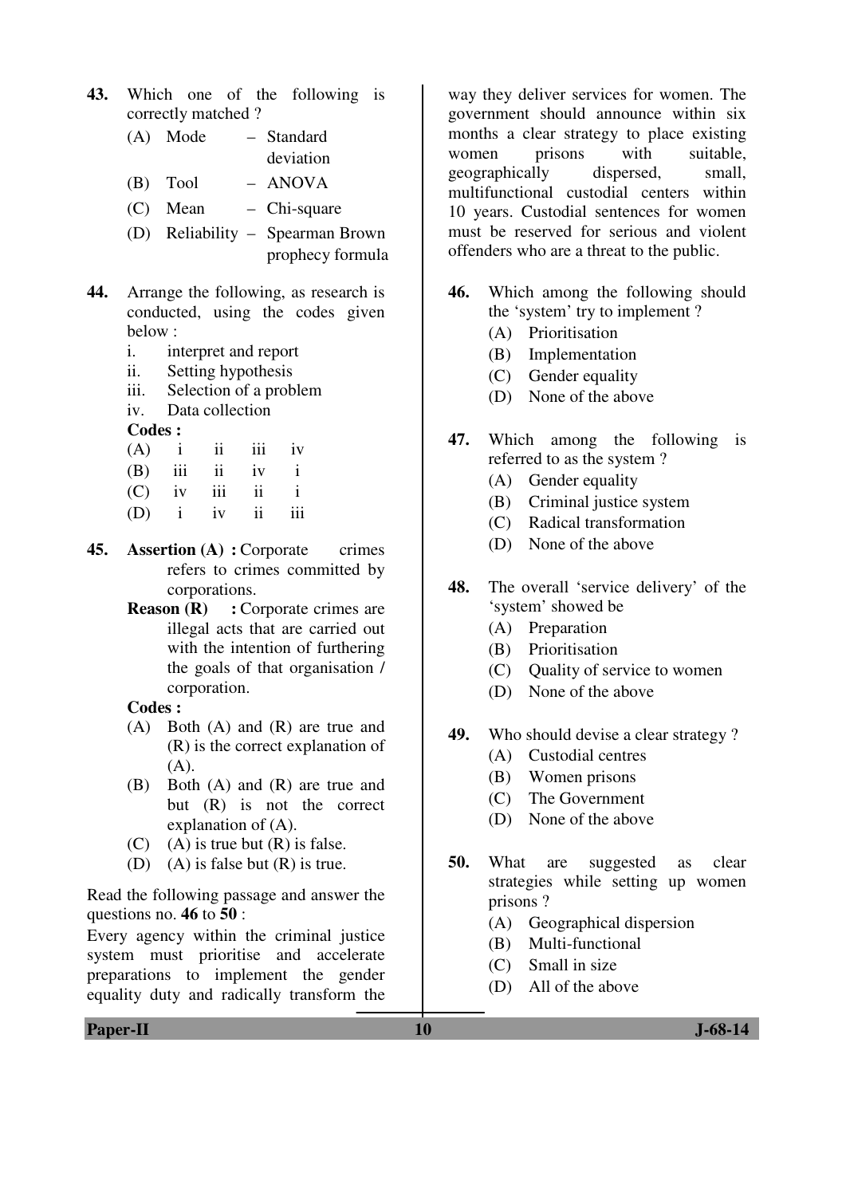**43.** Which one of the following is correctly matched ?

> (A) Mode – Standard deviation

- (B) Tool ANOVA
- (C) Mean Chi-square
- (D) Reliability Spearman Brown prophecy formula
- **44.** Arrange the following, as research is conducted, using the codes given below :
	- i. interpret and report
	- ii. Setting hypothesis
	- iii. Selection of a problem
	- iv. Data collection

**Codes :** 

| (A) |     | ij  | 111 | 1V |
|-----|-----|-----|-----|----|
| (B) | iii | ÎÎ  | iv  |    |
| (C) | iv  | iii | 11  |    |

- (D) i iv ii iii
- **45. Assertion (A) :** Corporate crimes refers to crimes committed by corporations.
	- **Reason (R)** : Corporate crimes are illegal acts that are carried out with the intention of furthering the goals of that organisation / corporation.

 **Codes :**

- (A) Both (A) and (R) are true and (R) is the correct explanation of  $(A)$ .
- (B) Both (A) and (R) are true and but (R) is not the correct explanation of (A).
- (C) (A) is true but  $(R)$  is false.
- (D) (A) is false but  $(R)$  is true.

Read the following passage and answer the questions no. **46** to **50** :

Every agency within the criminal justice system must prioritise and accelerate preparations to implement the gender equality duty and radically transform the

way they deliver services for women. The government should announce within six months a clear strategy to place existing women prisons with suitable, geographically dispersed, small, multifunctional custodial centers within 10 years. Custodial sentences for women must be reserved for serious and violent offenders who are a threat to the public.

- **46.** Which among the following should the 'system' try to implement ?
	- (A) Prioritisation
	- (B) Implementation
	- (C) Gender equality
	- (D) None of the above
- **47.** Which among the following is referred to as the system ?
	- (A) Gender equality
	- (B) Criminal justice system
	- (C) Radical transformation
	- (D) None of the above
- **48.** The overall 'service delivery' of the 'system' showed be
	- (A) Preparation
	- (B) Prioritisation
	- (C) Quality of service to women
	- (D) None of the above
- **49.** Who should devise a clear strategy ?
	- (A) Custodial centres
	- (B) Women prisons
	- (C) The Government
	- (D) None of the above
- **50.** What are suggested as clear strategies while setting up women prisons ?
	- (A) Geographical dispersion
	- (B) Multi-functional
	- (C) Small in size
	- (D) All of the above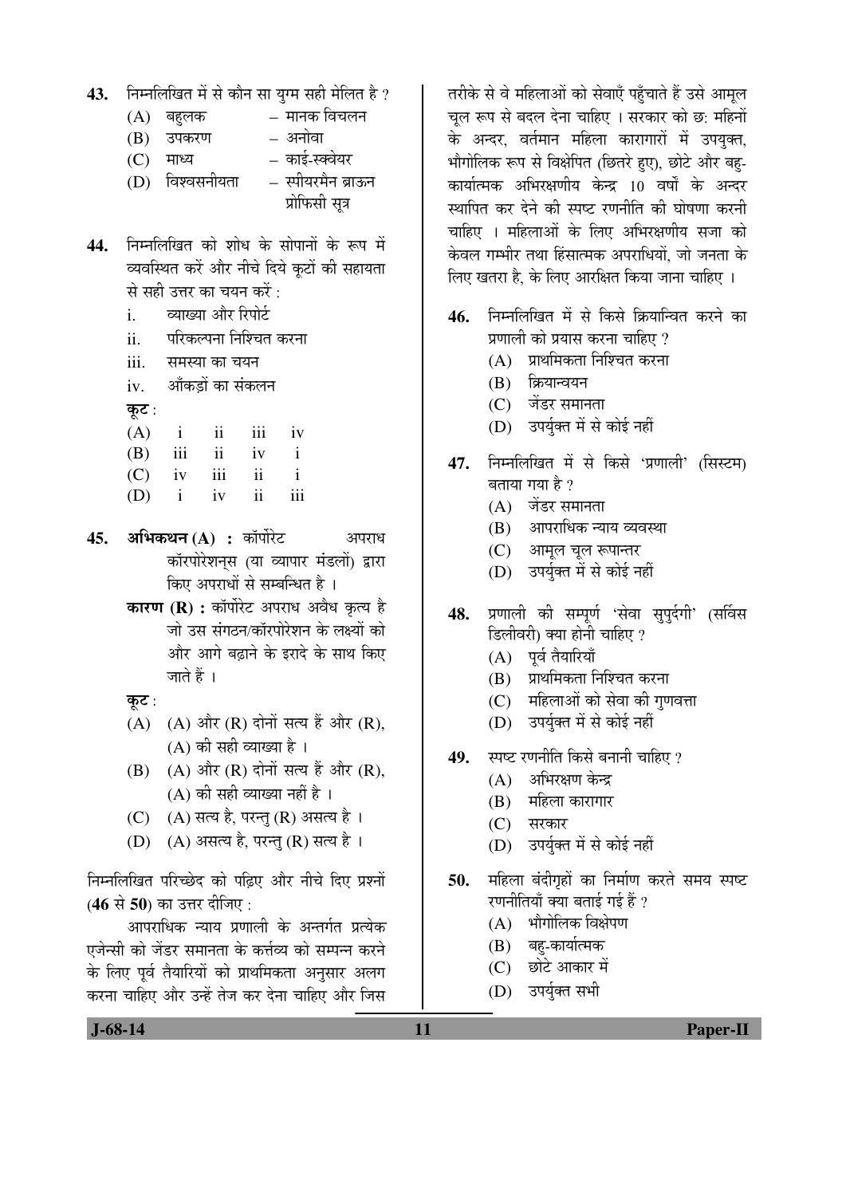- 43. Fiम्नलिखित में से कौन सा युग्म सही मेलित है ?
	- $(A)$  बहलक  $\overline{C}$  मानक विचलन
	- (B) उपकरण अनोवा
	- (C) माध्य काई-स्क्वेयर

(D) विश्वसनीयता – स्पीयरमैन ब्राऊन प्रोफिसी सूत्र

- 44. निम्नलिखित को शोध के सोपानों के रूप में व्यवस्थित करें और नीचे दिये कूटों की सहायता से सही उत्तर का चयन करें $\,$ :
	- i. व्याख्या और रिपोर्ट
	- ii. परिकल्पना निश्चित करना
	- iii. समस्या का चयन
	- iv. ऑकडों का संकलन
	- कुट $:$
	- $(A)$  i ii iii iv
- (B) iii ii iv i
	- $(C)$  iv iii ii i
	- $(D)$  i iv ii iii
- 45. **अभिकथन (A) :** कॉर्पोरेट अपराध कॉरपोरेशनस (या व्यापार मंडलों) द्वारा किए अपराधों से सम्बन्धित है ।
	- **कारण (R) :** कॉर्पोरेट अपराध अवैध कृत्य है जो उस संगठन/कॉरपोरेशन के लक्ष्यों को और आगे बढाने के इरादे के साथ किए जाते हैं ।
	- कूट :
	- $(A)$   $(A)$  और  $(R)$  दोनों सत्य हैं और  $(R)$ ,  $(A)$  की सही व्याख्या है ।
	- $(B)$   $(A)$  और  $(R)$  दोनों सत्य हैं और  $(R)$ ,  $(A)$  की सही व्याख्या नहीं है ।
	- (C) (A) सत्य है, परन्तु (R) असत्य है।
	- (D) (A) असत्य है, परन्तु (R) सत्य है।

निम्नलिखित परिच्छेद को पढ़िए और नीचे दिए प्रश्नों (46 से 50) का उत्तर दीजिए :

आपराधिक न्याय प्रणाली के अन्तर्गत प्रत्येक एजेन्सी को जेंडर समानता के कर्त्तव्य को सम्पन्न करने के लिए पर्व तैयारियों को प्राथमिकता अनसार अलग करना चाहिए और उन्हें तेज कर देना चाहिए और जिस

तरीके से वे महिलाओं को सेवाएँ पहुँचाते हैं उसे आमूल चल रूप से बदल देना चाहिए । सरकार को छ: महिनों के अन्दर, वर्तमान महिला कारागारों में उपयुक्त, भौगोलिक रूप से विक्षेपित (छितरे हए), छोटे और बह-कार्यात्मक अभिरक्षणीय केन्द्र 10 वर्षों के अन्दर स्थापित कर देने की स्पष्ट रणनीति की घोषणा करनी चाहिए । महिलाओं के लिए अभिरक्षणीय सजा को केवल गम्भीर तथा हिंसात्मक अपराधियों. जो जनता के लिए खतरा है, के लिए आरक्षित किया जाना चाहिए ।

- **46.** निम्नलिखित में से किसे क्रियान्वित करने का प्रणाली को प्रयास करना चाहिए ?
	- (A) प्राथमिकता निश्चित करना
	- $(B)$  क्रियान्वयन
	- (C) जेंडर समानता
	- (D) उपर्युक्त में से कोई नहीं
- 47. निम्नलिखित में से किसे 'प्रणाली' (सिस्टम) बताया गया है ?
	- $(A)$  जेंडर समानता
	- (B) आपराधिक न्याय व्यवस्था
	- (C) आमूल चूल रूपान्तर
	- (D) उपर्युक्त में से कोई नहीं
- 48. प्रणाली की सम्पूर्ण 'सेवा सुपूर्दगी' (सर्विस डिलीवरी) क्या होनी चाहिए ?
	- $(A)$  पर्व तैयारियाँ
	- (B) प्राथमिकता निश्चित करना
	- (C) महिलाओं को सेवा की गणवत्ता
	- (D) उपर्युक्त में से कोई नहीं
- 49. स्पष्ट रणनीति किसे बनानी चाहिए ?
	- (A) अभिरक्षण केन्द्र
	- $(B)$  महिला कारागार
	- $(C)$  सरकार
	- (D) उपर्युक्त में से कोई नहीं
- 50. महिला बंदीगृहों का निर्माण करते समय स्पष्ट रणनीतियाँ क्या बताई गई $\breve{}$ १
	- $(A)$  भौगोलिक विक्षेपण
	- (B) बह-कार्यात्मक
	- $(C)$  छोटे आकार में
	- (D) उपर्युक्त सभी